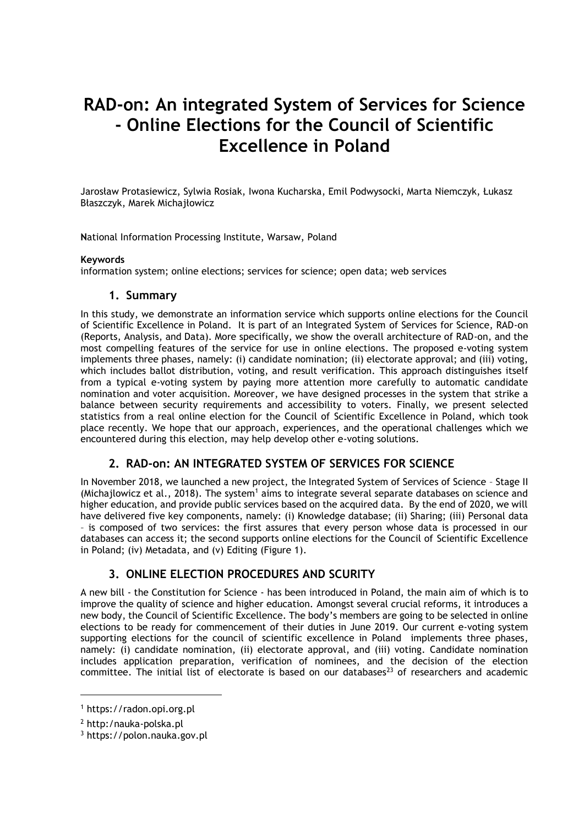# **RAD-on: An integrated System of Services for Science - Online Elections for the Council of Scientific Excellence in Poland**

Jarosław Protasiewicz, Sylwia Rosiak, Iwona Kucharska, Emil Podwysocki, Marta Niemczyk, Łukasz Błaszczyk, Marek Michajłowicz

**N**ational Information Processing Institute, Warsaw, Poland

#### **Keywords**

information system; online elections; services for science; open data; web services

## **1. Summary**

In this study, we demonstrate an information service which supports online elections for the Council of Scientific Excellence in Poland. It is part of an Integrated System of Services for Science, RAD-on (Reports, Analysis, and Data). More specifically, we show the overall architecture of RAD-on, and the most compelling features of the service for use in online elections. The proposed e-voting system implements three phases, namely: (i) candidate nomination; (ii) electorate approval; and (iii) voting, which includes ballot distribution, voting, and result verification. This approach distinguishes itself from a typical e-voting system by paying more attention more carefully to automatic candidate nomination and voter acquisition. Moreover, we have designed processes in the system that strike a balance between security requirements and accessibility to voters. Finally, we present selected statistics from a real online election for the Council of Scientific Excellence in Poland, which took place recently. We hope that our approach, experiences, and the operational challenges which we encountered during this election, may help develop other e-voting solutions.

## **2. RAD-on: AN INTEGRATED SYSTEM OF SERVICES FOR SCIENCE**

In November 2018, we launched a new project, the Integrated System of Services of Science – Stage II (Michajlowicz et al., 2018). The system<sup>1</sup> aims to integrate several separate databases on science and higher education, and provide public services based on the acquired data. By the end of 2020, we will have delivered five key components, namely: (i) Knowledge database; (ii) Sharing; (iii) Personal data – is composed of two services: the first assures that every person whose data is processed in our databases can access it; the second supports online elections for the Council of Scientific Excellence in Poland; (iv) Metadata, and (v) Editing (Figure 1).

## **3. ONLINE ELECTION PROCEDURES AND SCURITY**

A new bill - the Constitution for Science - has been introduced in Poland, the main aim of which is to improve the quality of science and higher education. Amongst several crucial reforms, it introduces a new body, the Council of Scientific Excellence. The body's members are going to be selected in online elections to be ready for commencement of their duties in June 2019. Our current e-voting system supporting elections for the council of scientific excellence in Poland implements three phases, namely: (i) candidate nomination, (ii) electorate approval, and (iii) voting. Candidate nomination includes application preparation, verification of nominees, and the decision of the election committee. The initial list of electorate is based on our databases<sup>23</sup> of researchers and academic

 $\overline{a}$ 

<sup>1</sup> https://radon.opi.org.pl

<sup>2</sup> http:/nauka-polska.pl

<sup>3</sup> https://polon.nauka.gov.pl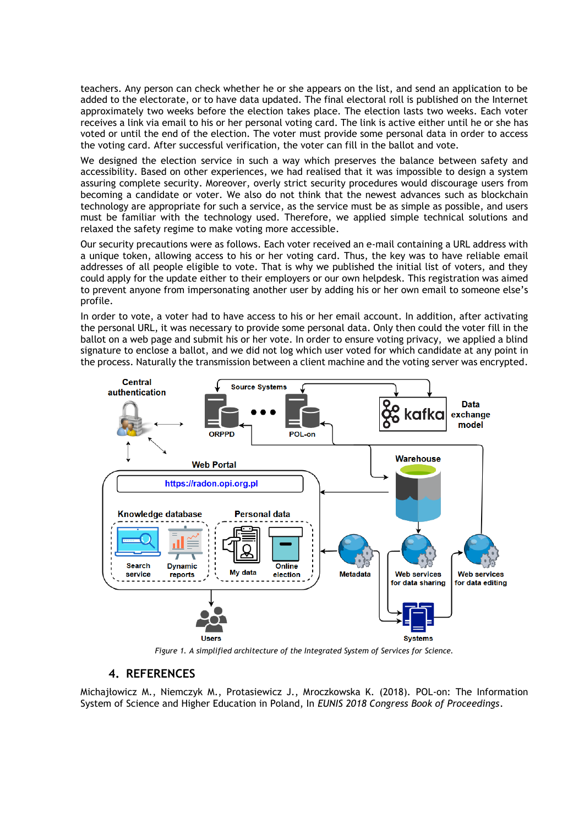teachers. Any person can check whether he or she appears on the list, and send an application to be added to the electorate, or to have data updated. The final electoral roll is published on the Internet approximately two weeks before the election takes place. The election lasts two weeks. Each voter receives a link via email to his or her personal voting card. The link is active either until he or she has voted or until the end of the election. The voter must provide some personal data in order to access the voting card. After successful verification, the voter can fill in the ballot and vote.

We designed the election service in such a way which preserves the balance between safety and accessibility. Based on other experiences, we had realised that it was impossible to design a system assuring complete security. Moreover, overly strict security procedures would discourage users from becoming a candidate or voter. We also do not think that the newest advances such as blockchain technology are appropriate for such a service, as the service must be as simple as possible, and users must be familiar with the technology used. Therefore, we applied simple technical solutions and relaxed the safety regime to make voting more accessible.

Our security precautions were as follows. Each voter received an e-mail containing a URL address with a unique token, allowing access to his or her voting card. Thus, the key was to have reliable email addresses of all people eligible to vote. That is why we published the initial list of voters, and they could apply for the update either to their employers or our own helpdesk. This registration was aimed to prevent anyone from impersonating another user by adding his or her own email to someone else's profile.

In order to vote, a voter had to have access to his or her email account. In addition, after activating the personal URL, it was necessary to provide some personal data. Only then could the voter fill in the ballot on a web page and submit his or her vote. In order to ensure voting privacy, we applied a blind signature to enclose a ballot, and we did not log which user voted for which candidate at any point in the process. Naturally the transmission between a client machine and the voting server was encrypted.



*Figure 1. A simplified architecture of the Integrated System of Services for Science.* 

## **4. REFERENCES**

Michajłowicz M., Niemczyk M., Protasiewicz J., Mroczkowska K. (2018). POL-on: The Information System of Science and Higher Education in Poland, In *EUNIS 2018 Congress Book of Proceedings*.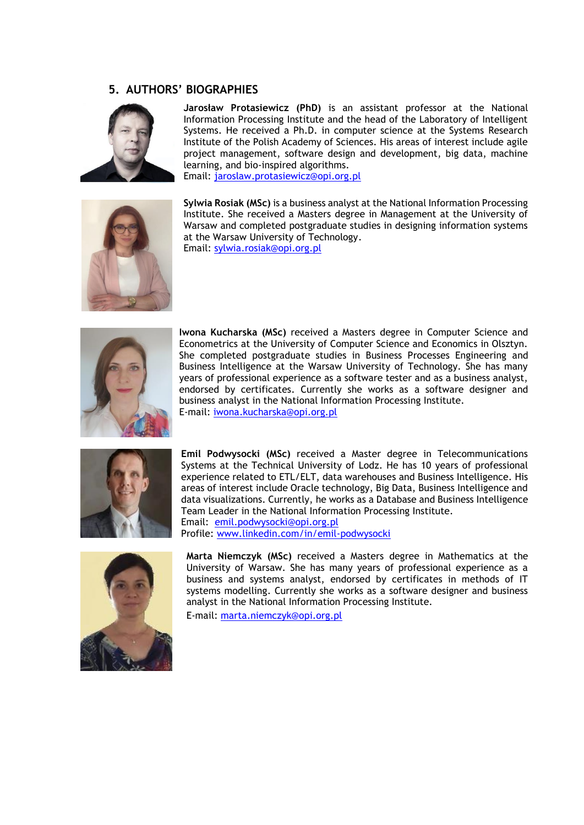## **5. AUTHORS' BIOGRAPHIES**



**Jarosław Protasiewicz (PhD)** is an assistant professor at the National Information Processing Institute and the head of the Laboratory of Intelligent Systems. He received a Ph.D. in computer science at the Systems Research Institute of the Polish Academy of Sciences. His areas of interest include agile project management, software design and development, big data, machine learning, and bio-inspired algorithms. Email: [jaroslaw.protasiewicz@opi.org.pl](mailto:jaroslaw.protasiewicz@opi.org.pl)



**Sylwia Rosiak (MSc)** is a business analyst at the National Information Processing Institute. She received a Masters degree in Management at the University of Warsaw and completed postgraduate studies in designing information systems at the Warsaw University of Technology.

Email: [sylwia.rosiak@opi.org.pl](mailto:sylwia.rosiak@opi.org.pl)



**Iwona Kucharska (MSc)** received a Masters degree in Computer Science and Econometrics at the University of Computer Science and Economics in Olsztyn. She completed postgraduate studies in Business Processes Engineering and Business Intelligence at the Warsaw University of Technology. She has many years of professional experience as a software tester and as a business analyst, endorsed by certificates. Currently she works as a software designer and business analyst in the National Information Processing Institute. E-mail: [iwona.kucharska@opi.org.pl](mailto:iwona.kucharska@opi.org.pl)



**Emil Podwysocki (MSc)** received a Master degree in Telecommunications Systems at the Technical University of Lodz. He has 10 years of professional experience related to ETL/ELT, data warehouses and Business Intelligence. His areas of interest include Oracle technology, Big Data, Business Intelligence and data visualizations. Currently, he works as a Database and Business Intelligence Team Leader in the National Information Processing Institute. Email: [emil.podwysocki@opi.org.pl](mailto:emil.podwysocki@opi.org.pl) Profile: [www.linkedin.com/in/emil-podwysocki](http://www.linkedin.com/in/emil-podwysocki)



**Marta Niemczyk (MSc)** received a Masters degree in Mathematics at the University of Warsaw. She has many years of professional experience as a business and systems analyst, endorsed by certificates in methods of IT systems modelling. Currently she works as a software designer and business analyst in the National Information Processing Institute.

E-mail: [marta.niemczyk@opi.org.pl](mailto:marta.niemczyk@opi.org.pl)